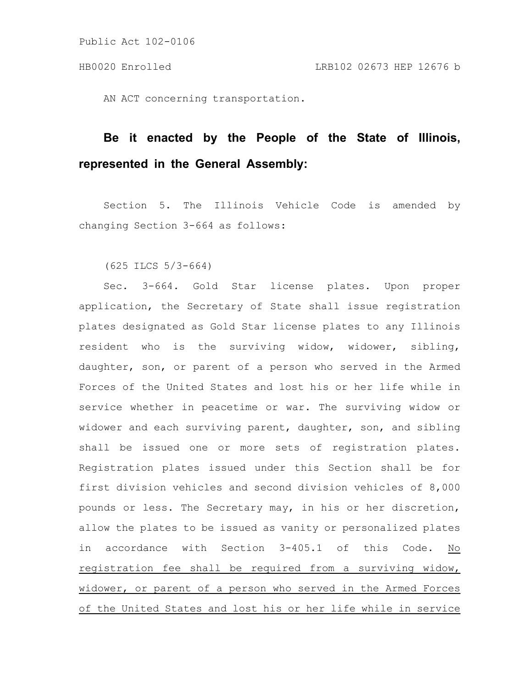Public Act 102-0106

AN ACT concerning transportation.

## **Be it enacted by the People of the State of Illinois, represented in the General Assembly:**

Section 5. The Illinois Vehicle Code is amended by changing Section 3-664 as follows:

(625 ILCS 5/3-664)

Sec. 3-664. Gold Star license plates. Upon proper application, the Secretary of State shall issue registration plates designated as Gold Star license plates to any Illinois resident who is the surviving widow, widower, sibling, daughter, son, or parent of a person who served in the Armed Forces of the United States and lost his or her life while in service whether in peacetime or war. The surviving widow or widower and each surviving parent, daughter, son, and sibling shall be issued one or more sets of registration plates. Registration plates issued under this Section shall be for first division vehicles and second division vehicles of 8,000 pounds or less. The Secretary may, in his or her discretion, allow the plates to be issued as vanity or personalized plates in accordance with Section 3-405.1 of this Code. No registration fee shall be required from a surviving widow, widower, or parent of a person who served in the Armed Forces of the United States and lost his or her life while in service